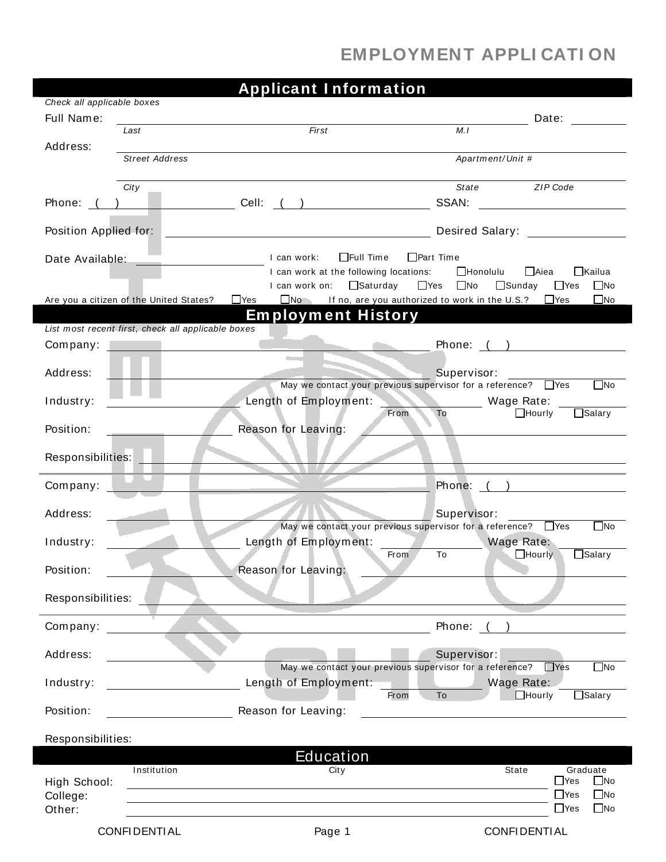## **EMPLOYMENT APPLI CATI ON**

|                            |                                                    | <b>Applicant Information</b>            |                                                                                    |                                                                                                                |
|----------------------------|----------------------------------------------------|-----------------------------------------|------------------------------------------------------------------------------------|----------------------------------------------------------------------------------------------------------------|
| Check all applicable boxes |                                                    |                                         |                                                                                    |                                                                                                                |
| Full Name:                 | Last                                               | First                                   | M.I                                                                                | Date:                                                                                                          |
| Address:                   |                                                    |                                         |                                                                                    |                                                                                                                |
|                            | <b>Street Address</b>                              |                                         | Apartment/Unit #                                                                   |                                                                                                                |
|                            | City                                               |                                         | State                                                                              | ZIP Code                                                                                                       |
| Phone: (                   |                                                    |                                         | SSAN:                                                                              |                                                                                                                |
|                            |                                                    |                                         |                                                                                    |                                                                                                                |
| Position Applied for:      |                                                    |                                         |                                                                                    | Desired Salary: The Salary School Salary School School School School School School School School School School |
|                            |                                                    | $\Box$ Full Time<br>I can work:         | $\Box$ Part Time                                                                   |                                                                                                                |
|                            |                                                    | I can work at the following locations:  | $\Box$ Honolulu                                                                    | □Aiea<br>□Kailua                                                                                               |
|                            |                                                    | I can work on: □ Saturday               | $\Box$ Yes $\Box$ No                                                               | $\Box$ Sunday<br>$\Box$ Yes<br>$\square$ No                                                                    |
|                            | Are you a citizen of the United States?            | $\Box$ Yes<br><b>Employment History</b> | $\Box$ No If no, are you authorized to work in the U.S.? $\Box$ Yes                | $\square$ No                                                                                                   |
|                            | List most recent first, check all applicable boxes |                                         |                                                                                    |                                                                                                                |
| Company:                   |                                                    |                                         |                                                                                    | Phone: ( )                                                                                                     |
|                            |                                                    |                                         |                                                                                    |                                                                                                                |
| Address:                   |                                                    |                                         | Supervisor:<br>May we contact your previous supervisor for a reference? $\Box$ Yes | $\square$ No                                                                                                   |
| Industry:                  |                                                    | Length of Employment:                   | Wage Rate:                                                                         |                                                                                                                |
|                            |                                                    |                                         | To<br>From                                                                         | $\Box$ Salary<br>$\Box$ Hourly                                                                                 |
| Position:                  |                                                    | Reason for Leaving:                     |                                                                                    |                                                                                                                |
| Responsibilities:          |                                                    |                                         |                                                                                    |                                                                                                                |
|                            |                                                    |                                         |                                                                                    |                                                                                                                |
| Company:                   |                                                    |                                         | Phone:                                                                             | $\overline{a}$                                                                                                 |
| Address:                   |                                                    |                                         | Supervisor:                                                                        |                                                                                                                |
|                            |                                                    |                                         | May we contact your previous supervisor for a reference? PYes                      | $\square$ No                                                                                                   |
| Industry:                  |                                                    | Length of Employment:                   |                                                                                    | Wage Rate:                                                                                                     |
|                            |                                                    |                                         | To<br><b>From</b>                                                                  | $\Box$ Salary<br>$\Box$ Hourly                                                                                 |
| Position:                  |                                                    | Reason for Leaving:                     |                                                                                    |                                                                                                                |
| Responsibilities:          |                                                    |                                         |                                                                                    |                                                                                                                |
|                            |                                                    |                                         |                                                                                    |                                                                                                                |
| Company:                   |                                                    |                                         | Phone: (                                                                           |                                                                                                                |
| Address:                   |                                                    |                                         | Supervisor:                                                                        |                                                                                                                |
|                            |                                                    |                                         | May we contact your previous supervisor for a reference?                           | $\Box$ Yes<br>$\square$ No                                                                                     |
| Industry:                  |                                                    | Length of Employment:                   |                                                                                    | Wage Rate:                                                                                                     |
| Position:                  |                                                    | Reason for Leaving:                     | To<br>From                                                                         | $\Box$ Hourly<br>$\Box$ Salary                                                                                 |
|                            |                                                    |                                         |                                                                                    |                                                                                                                |
| Responsibilities:          |                                                    |                                         |                                                                                    |                                                                                                                |
|                            |                                                    | <b>Education</b>                        |                                                                                    |                                                                                                                |
| High School:               | Institution                                        | City                                    | State                                                                              | Graduate<br>$\Box$ Yes<br>$\Box$ No                                                                            |
| College:                   |                                                    |                                         |                                                                                    | $\square$ No<br>$\Box$ Yes                                                                                     |
| Other:                     |                                                    |                                         |                                                                                    | $\square$ No<br>$\Box$ Yes                                                                                     |